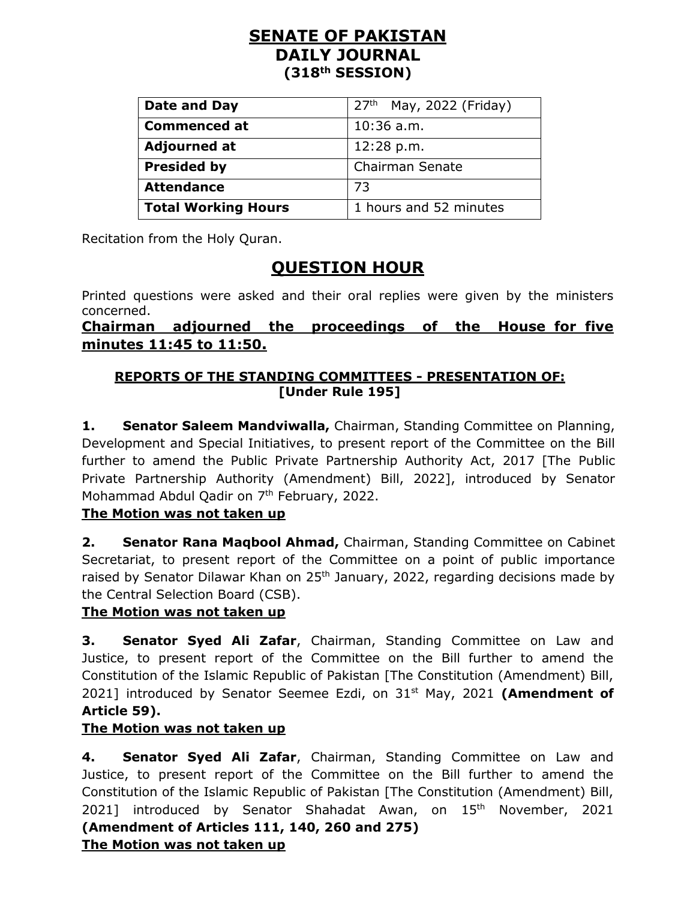## **SENATE OF PAKISTAN DAILY JOURNAL (318th SESSION)**

| Date and Day               | $27th$ May, 2022 (Friday) |
|----------------------------|---------------------------|
| <b>Commenced at</b>        | $10:36$ a.m.              |
| <b>Adjourned at</b>        | 12:28 p.m.                |
| <b>Presided by</b>         | Chairman Senate           |
| <b>Attendance</b>          | 73                        |
| <b>Total Working Hours</b> | 1 hours and 52 minutes    |

Recitation from the Holy Quran.

# **QUESTION HOUR**

Printed questions were asked and their oral replies were given by the ministers concerned.

**Chairman adjourned the proceedings of the House for five minutes 11:45 to 11:50.**

## **REPORTS OF THE STANDING COMMITTEES - PRESENTATION OF: [Under Rule 195]**

**1. Senator Saleem Mandviwalla,** Chairman, Standing Committee on Planning, Development and Special Initiatives, to present report of the Committee on the Bill further to amend the Public Private Partnership Authority Act, 2017 [The Public Private Partnership Authority (Amendment) Bill, 2022], introduced by Senator Mohammad Abdul Qadir on 7<sup>th</sup> February, 2022.

### **The Motion was not taken up**

**2. Senator Rana Maqbool Ahmad,** Chairman, Standing Committee on Cabinet Secretariat, to present report of the Committee on a point of public importance raised by Senator Dilawar Khan on  $25<sup>th</sup>$  January, 2022, regarding decisions made by the Central Selection Board (CSB).

### **The Motion was not taken up**

**3. Senator Syed Ali Zafar**, Chairman, Standing Committee on Law and Justice, to present report of the Committee on the Bill further to amend the Constitution of the Islamic Republic of Pakistan [The Constitution (Amendment) Bill, 2021] introduced by Senator Seemee Ezdi, on 31<sup>st</sup> May, 2021 (Amendment of **Article 59).**

### **The Motion was not taken up**

**4. Senator Syed Ali Zafar**, Chairman, Standing Committee on Law and Justice, to present report of the Committee on the Bill further to amend the Constitution of the Islamic Republic of Pakistan [The Constitution (Amendment) Bill, 2021] introduced by Senator Shahadat Awan, on 15<sup>th</sup> November, 2021 **(Amendment of Articles 111, 140, 260 and 275) The Motion was not taken up**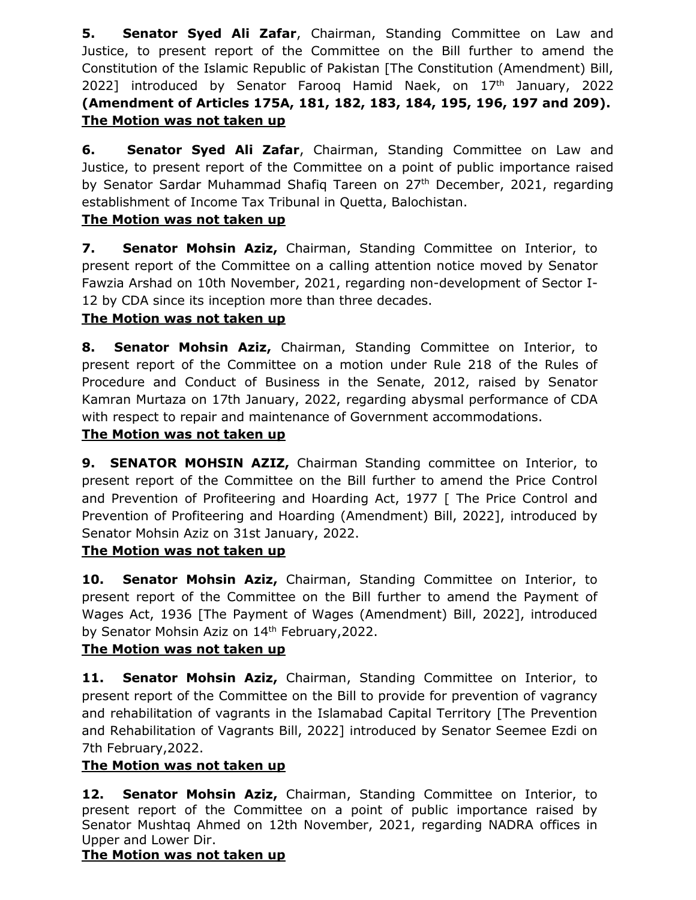**5. Senator Syed Ali Zafar**, Chairman, Standing Committee on Law and Justice, to present report of the Committee on the Bill further to amend the Constitution of the Islamic Republic of Pakistan [The Constitution (Amendment) Bill, 2022] introduced by Senator Farooq Hamid Naek, on  $17<sup>th</sup>$  January, 2022 **(Amendment of Articles 175A, 181, 182, 183, 184, 195, 196, 197 and 209). The Motion was not taken up**

**6. Senator Syed Ali Zafar**, Chairman, Standing Committee on Law and Justice, to present report of the Committee on a point of public importance raised by Senator Sardar Muhammad Shafiq Tareen on 27<sup>th</sup> December, 2021, regarding establishment of Income Tax Tribunal in Quetta, Balochistan.

### **The Motion was not taken up**

**7. Senator Mohsin Aziz,** Chairman, Standing Committee on Interior, to present report of the Committee on a calling attention notice moved by Senator Fawzia Arshad on 10th November, 2021, regarding non-development of Sector I-12 by CDA since its inception more than three decades.

## **The Motion was not taken up**

**8. Senator Mohsin Aziz,** Chairman, Standing Committee on Interior, to present report of the Committee on a motion under Rule 218 of the Rules of Procedure and Conduct of Business in the Senate, 2012, raised by Senator Kamran Murtaza on 17th January, 2022, regarding abysmal performance of CDA with respect to repair and maintenance of Government accommodations.

## **The Motion was not taken up**

**9. SENATOR MOHSIN AZIZ,** Chairman Standing committee on Interior, to present report of the Committee on the Bill further to amend the Price Control and Prevention of Profiteering and Hoarding Act, 1977 [ The Price Control and Prevention of Profiteering and Hoarding (Amendment) Bill, 2022], introduced by Senator Mohsin Aziz on 31st January, 2022.

## **The Motion was not taken up**

**10. Senator Mohsin Aziz,** Chairman, Standing Committee on Interior, to present report of the Committee on the Bill further to amend the Payment of Wages Act, 1936 [The Payment of Wages (Amendment) Bill, 2022], introduced by Senator Mohsin Aziz on 14<sup>th</sup> February, 2022.

## **The Motion was not taken up**

11. **Senator Mohsin Aziz,** Chairman, Standing Committee on Interior, to present report of the Committee on the Bill to provide for prevention of vagrancy and rehabilitation of vagrants in the Islamabad Capital Territory [The Prevention and Rehabilitation of Vagrants Bill, 2022] introduced by Senator Seemee Ezdi on 7th February,2022.

### **The Motion was not taken up**

**12. Senator Mohsin Aziz,** Chairman, Standing Committee on Interior, to present report of the Committee on a point of public importance raised by Senator Mushtaq Ahmed on 12th November, 2021, regarding NADRA offices in Upper and Lower Dir.

### **The Motion was not taken up**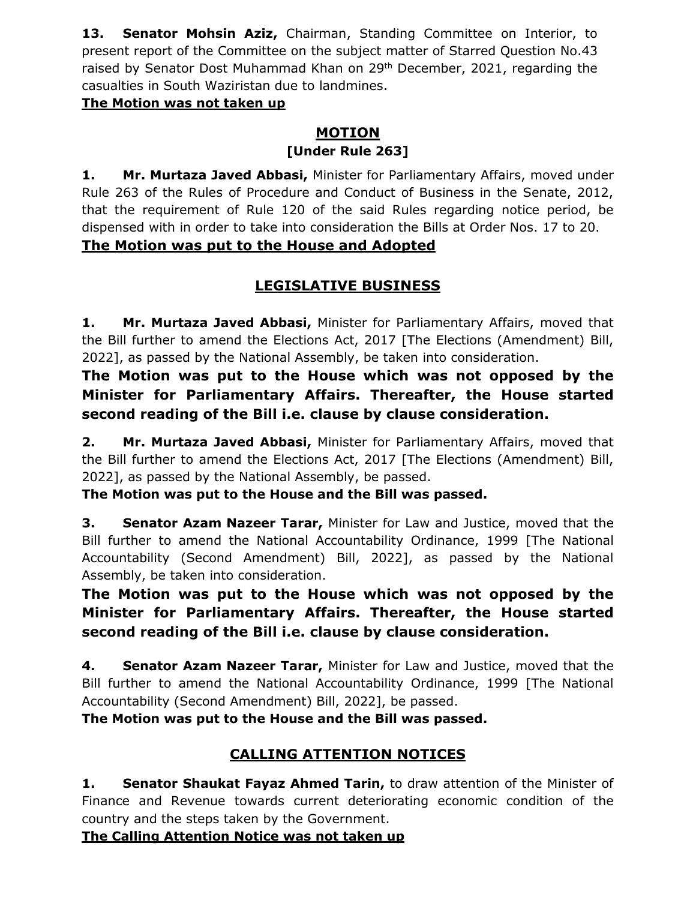**13. Senator Mohsin Aziz,** Chairman, Standing Committee on Interior, to present report of the Committee on the subject matter of Starred Question No.43 raised by Senator Dost Muhammad Khan on 29<sup>th</sup> December, 2021, regarding the casualties in South Waziristan due to landmines.

#### **The Motion was not taken up**

#### **MOTION [Under Rule 263]**

**1. Mr. Murtaza Javed Abbasi,** Minister for Parliamentary Affairs, moved under Rule 263 of the Rules of Procedure and Conduct of Business in the Senate, 2012, that the requirement of Rule 120 of the said Rules regarding notice period, be dispensed with in order to take into consideration the Bills at Order Nos. 17 to 20.

## **The Motion was put to the House and Adopted**

## **LEGISLATIVE BUSINESS**

**1. Mr. Murtaza Javed Abbasi,** Minister for Parliamentary Affairs, moved that the Bill further to amend the Elections Act, 2017 [The Elections (Amendment) Bill, 2022], as passed by the National Assembly, be taken into consideration.

**The Motion was put to the House which was not opposed by the Minister for Parliamentary Affairs. Thereafter, the House started second reading of the Bill i.e. clause by clause consideration.**

**2. Mr. Murtaza Javed Abbasi,** Minister for Parliamentary Affairs, moved that the Bill further to amend the Elections Act, 2017 [The Elections (Amendment) Bill, 2022], as passed by the National Assembly, be passed.

**The Motion was put to the House and the Bill was passed.**

**3. Senator Azam Nazeer Tarar,** Minister for Law and Justice, moved that the Bill further to amend the National Accountability Ordinance, 1999 [The National Accountability (Second Amendment) Bill, 2022], as passed by the National Assembly, be taken into consideration.

**The Motion was put to the House which was not opposed by the Minister for Parliamentary Affairs. Thereafter, the House started second reading of the Bill i.e. clause by clause consideration.**

**4. Senator Azam Nazeer Tarar,** Minister for Law and Justice, moved that the Bill further to amend the National Accountability Ordinance, 1999 [The National Accountability (Second Amendment) Bill, 2022], be passed.

**The Motion was put to the House and the Bill was passed.**

# **CALLING ATTENTION NOTICES**

**1. Senator Shaukat Fayaz Ahmed Tarin,** to draw attention of the Minister of Finance and Revenue towards current deteriorating economic condition of the country and the steps taken by the Government.

**The Calling Attention Notice was not taken up**